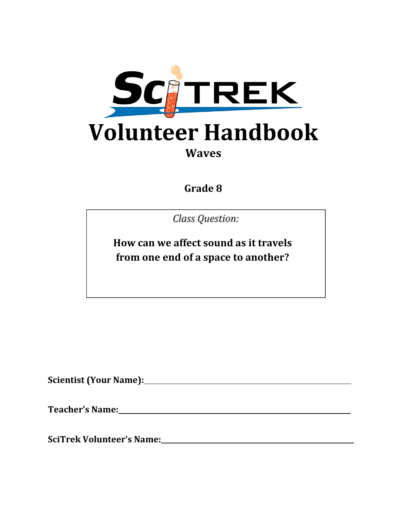

# **Waves**

**Grade 8**

Class Question:

**How can we affect sound as it travels from one end of a space to another?**

**Scientist (Your Name):**

**Teacher's Name: .**

**SciTrek Volunteer's Name: .**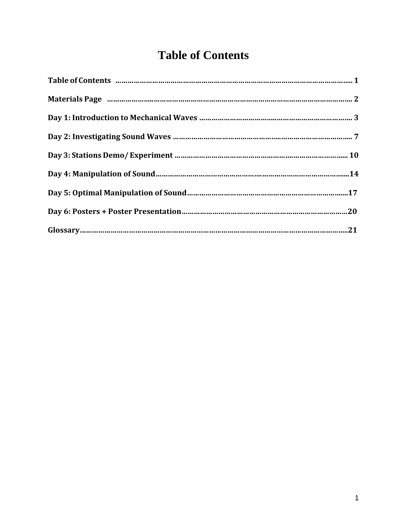## **Table of Contents**

| Materials Page manual manual manual manual manual manual manual manual manual manual 2 |  |
|----------------------------------------------------------------------------------------|--|
|                                                                                        |  |
|                                                                                        |  |
|                                                                                        |  |
|                                                                                        |  |
|                                                                                        |  |
|                                                                                        |  |
|                                                                                        |  |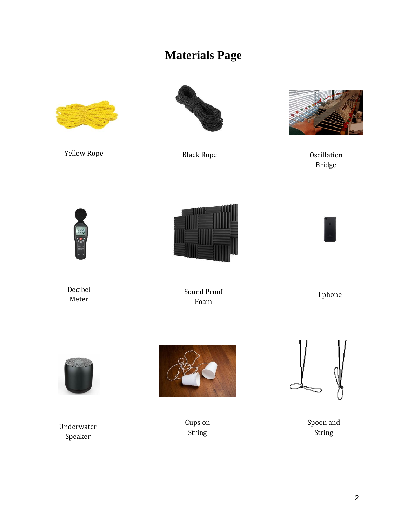## **Materials Page**



Yellow Rope **Black Rope** Black Rope **CONFIDENT** 





Bridge







Decibel Meter

Sound Proof Foam

I phone



Underwater Speaker



Cups on String



Spoon and String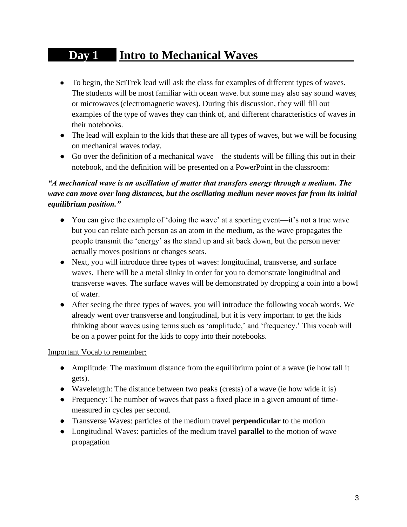## **Day 1 Intro to Mechanical Waves .**

- To begin, the SciTrek lead will ask the class for examples of different types of waves. The students will be most familiar with ocean wave, but some may also say sound waves] or microwaves(electromagnetic waves). During this discussion, they will fill out examples of the type of waves they can think of, and different characteristics of waves in their notebooks.
- The lead will explain to the kids that these are all types of waves, but we will be focusing on mechanical waves today.
- Go over the definition of a mechanical wave—the students will be filling this out in their notebook, and the definition will be presented on a PowerPoint in the classroom:

### *"A mechanical wave is an oscillation of matter that transfers energy through a medium. The wave can move over long distances, but the oscillating medium never moves far from its initial equilibrium position."*

- You can give the example of 'doing the wave' at a sporting event—it's not a true wave but you can relate each person as an atom in the medium, as the wave propagates the people transmit the 'energy' as the stand up and sit back down, but the person never actually moves positions or changes seats.
- Next, you will introduce three types of waves: longitudinal, transverse, and surface waves. There will be a metal slinky in order for you to demonstrate longitudinal and transverse waves. The surface waves will be demonstrated by dropping a coin into a bowl of water.
- After seeing the three types of waves, you will introduce the following vocab words. We already went over transverse and longitudinal, but it is very important to get the kids thinking about waves using terms such as 'amplitude,' and 'frequency.' This vocab will be on a power point for the kids to copy into their notebooks.

#### Important Vocab to remember:

- Amplitude: The maximum distance from the equilibrium point of a wave (ie how tall it gets).
- Wavelength: The distance between two peaks (crests) of a wave (ie how wide it is)
- Frequency: The number of waves that pass a fixed place in a given amount of timemeasured in cycles per second.
- Transverse Waves: particles of the medium travel **perpendicular** to the motion
- Longitudinal Waves: particles of the medium travel **parallel** to the motion of wave propagation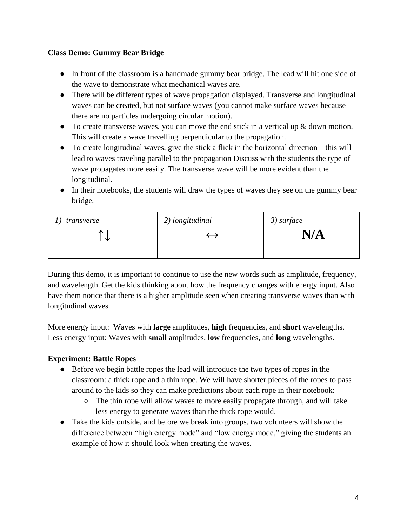#### **Class Demo: Gummy Bear Bridge**

- In front of the classroom is a handmade gummy bear bridge. The lead will hit one side of the wave to demonstrate what mechanical waves are.
- There will be different types of wave propagation displayed. Transverse and longitudinal waves can be created, but not surface waves (you cannot make surface waves because there are no particles undergoing circular motion).
- To create transverse waves, you can move the end stick in a vertical up  $\&$  down motion. This will create a wave travelling perpendicular to the propagation.
- To create longitudinal waves, give the stick a flick in the horizontal direction—this will lead to waves traveling parallel to the propagation Discuss with the students the type of wave propagates more easily. The transverse wave will be more evident than the longitudinal.
- In their notebooks, the students will draw the types of waves they see on the gummy bear bridge*.*

| transverse | 2) longitudinal | $3)$ surface |
|------------|-----------------|--------------|
| ́<br>飞     |                 | N/A          |
|            |                 |              |

During this demo, it is important to continue to use the new words such as amplitude, frequency, and wavelength. Get the kids thinking about how the frequency changes with energy input. Also have them notice that there is a higher amplitude seen when creating transverse waves than with longitudinal waves.

More energy input: Waves with **large** amplitudes, **high** frequencies, and **short** wavelengths. Less energy input: Waves with **small** amplitudes, **low** frequencies, and **long** wavelengths.

### **Experiment: Battle Ropes**

- Before we begin battle ropes the lead will introduce the two types of ropes in the classroom: a thick rope and a thin rope. We will have shorter pieces of the ropes to pass around to the kids so they can make predictions about each rope in their notebook:
	- The thin rope will allow waves to more easily propagate through, and will take less energy to generate waves than the thick rope would.
- Take the kids outside, and before we break into groups, two volunteers will show the difference between "high energy mode" and "low energy mode," giving the students an example of how it should look when creating the waves.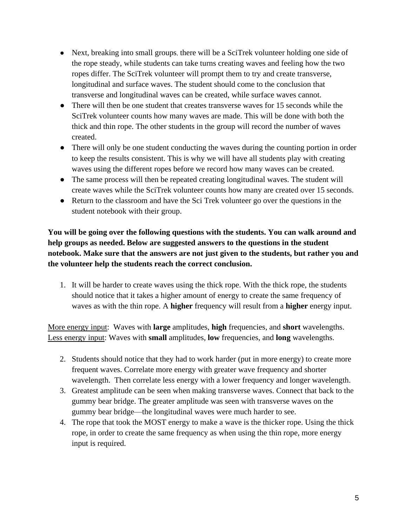- Next, breaking into small groups, there will be a SciTrek volunteer holding one side of the rope steady, while students can take turns creating waves and feeling how the two ropes differ. The SciTrek volunteer will prompt them to try and create transverse, longitudinal and surface waves. The student should come to the conclusion that transverse and longitudinal waves can be created, while surface waves cannot.
- There will then be one student that creates transverse waves for 15 seconds while the SciTrek volunteer counts how many waves are made. This will be done with both the thick and thin rope. The other students in the group will record the number of waves created.
- There will only be one student conducting the waves during the counting portion in order to keep the results consistent. This is why we will have all students play with creating waves using the different ropes before we record how many waves can be created.
- The same process will then be repeated creating longitudinal waves. The student will create waves while the SciTrek volunteer counts how many are created over 15 seconds.
- Return to the classroom and have the Sci Trek volunteer go over the questions in the student notebook with their group.

**You will be going over the following questions with the students. You can walk around and help groups as needed. Below are suggested answers to the questions in the student notebook. Make sure that the answers are not just given to the students, but rather you and the volunteer help the students reach the correct conclusion.**

1. It will be harder to create waves using the thick rope. With the thick rope, the students should notice that it takes a higher amount of energy to create the same frequency of waves as with the thin rope. A **higher** frequency will result from a **higher** energy input.

More energy input: Waves with **large** amplitudes, **high** frequencies, and **short** wavelengths. Less energy input: Waves with **small** amplitudes, **low** frequencies, and **long** wavelengths.

- 2. Students should notice that they had to work harder (put in more energy) to create more frequent waves. Correlate more energy with greater wave frequency and shorter wavelength. Then correlate less energy with a lower frequency and longer wavelength.
- 3. Greatest amplitude can be seen when making transverse waves. Connect that back to the gummy bear bridge. The greater amplitude was seen with transverse waves on the gummy bear bridge—the longitudinal waves were much harder to see.
- 4. The rope that took the MOST energy to make a wave is the thicker rope. Using the thick rope, in order to create the same frequency as when using the thin rope, more energy input is required.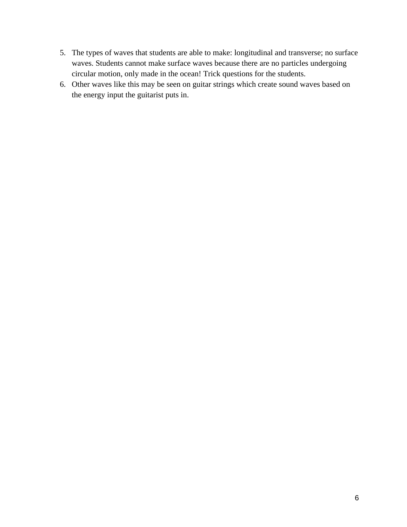- 5. The types of waves that students are able to make: longitudinal and transverse; no surface waves. Students cannot make surface waves because there are no particles undergoing circular motion, only made in the ocean! Trick questions for the students.
- 6. Other waves like this may be seen on guitar strings which create sound waves based on the energy input the guitarist puts in.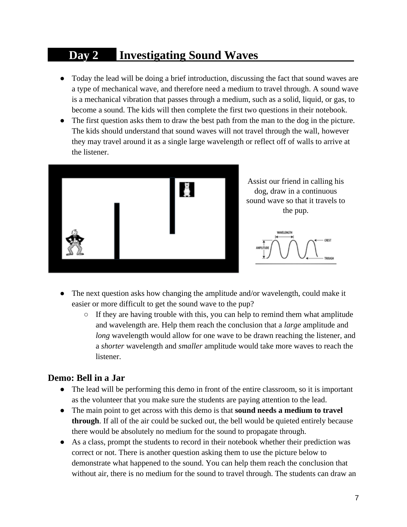## **Day 2 Investigating Sound Waves**

- Today the lead will be doing a brief introduction, discussing the fact that sound waves are a type of mechanical wave, and therefore need a medium to travel through. A sound wave is a mechanical vibration that passes through a medium, such as a solid, liquid, or gas, to become a sound. The kids will then complete the first two questions in their notebook.
- The first question asks them to draw the best path from the man to the dog in the picture. The kids should understand that sound waves will not travel through the wall, however they may travel around it as a single large wavelength or reflect off of walls to arrive at the listener.



Assist our friend in calling his dog, draw in a continuous sound wave so that it travels to the pup.



- The next question asks how changing the amplitude and/or wavelength, could make it easier or more difficult to get the sound wave to the pup?
	- If they are having trouble with this, you can help to remind them what amplitude and wavelength are. Help them reach the conclusion that a *large* amplitude and *long* wavelength would allow for one wave to be drawn reaching the listener, and a *shorter* wavelength and *smaller* amplitude would take more waves to reach the listener.

### **Demo: Bell in a Jar**

- The lead will be performing this demo in front of the entire classroom, so it is important as the volunteer that you make sure the students are paying attention to the lead.
- The main point to get across with this demo is that **sound needs a medium to travel through**. If all of the air could be sucked out, the bell would be quieted entirely because there would be absolutely no medium for the sound to propagate through.
- As a class, prompt the students to record in their notebook whether their prediction was correct or not. There is another question asking them to use the picture below to demonstrate what happened to the sound. You can help them reach the conclusion that without air, there is no medium for the sound to travel through. The students can draw an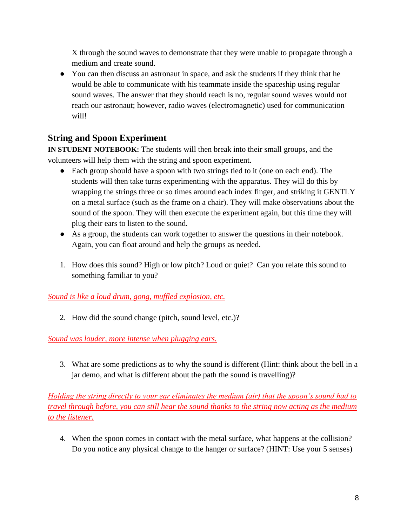X through the sound waves to demonstrate that they were unable to propagate through a medium and create sound.

• You can then discuss an astronaut in space, and ask the students if they think that he would be able to communicate with his teammate inside the spaceship using regular sound waves. The answer that they should reach is no, regular sound waves would not reach our astronaut; however, radio waves (electromagnetic) used for communication will!

### **String and Spoon Experiment**

**IN STUDENT NOTEBOOK:** The students will then break into their small groups, and the volunteers will help them with the string and spoon experiment.

- Each group should have a spoon with two strings tied to it (one on each end). The students will then take turns experimenting with the apparatus. They will do this by wrapping the strings three or so times around each index finger, and striking it GENTLY on a metal surface (such as the frame on a chair). They will make observations about the sound of the spoon. They will then execute the experiment again, but this time they will plug their ears to listen to the sound.
- As a group, the students can work together to answer the questions in their notebook. Again, you can float around and help the groups as needed.
- 1. How does this sound? High or low pitch? Loud or quiet? Can you relate this sound to something familiar to you?

### *Sound is like a loud drum, gong, muffled explosion, etc.*

2. How did the sound change (pitch, sound level, etc.)?

### *Sound was louder, more intense when plugging ears.*

3. What are some predictions as to why the sound is different (Hint: think about the bell in a jar demo, and what is different about the path the sound is travelling)?

*Holding the string directly to your ear eliminates the medium (air) that the spoon's sound had to travel through before, you can still hear the sound thanks to the string now acting as the medium to the listener.*

4. When the spoon comes in contact with the metal surface, what happens at the collision? Do you notice any physical change to the hanger or surface? (HINT: Use your 5 senses)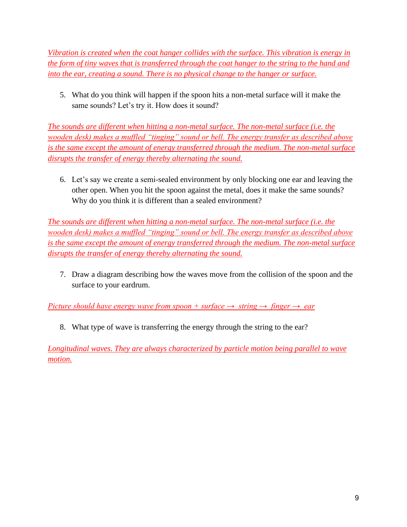*Vibration is created when the coat hanger collides with the surface. This vibration is energy in the form of tiny waves that is transferred through the coat hanger to the string to the hand and into the ear, creating a sound. There is no physical change to the hanger or surface.*

5. What do you think will happen if the spoon hits a non-metal surface will it make the same sounds? Let's try it. How does it sound?

*The sounds are different when hitting a non-metal surface. The non-metal surface (i.e. the wooden desk) makes a muffled "tinging" sound or bell. The energy transfer as described above is the same except the amount of energy transferred through the medium. The non-metal surface disrupts the transfer of energy thereby alternating the sound.*

6. Let's say we create a semi-sealed environment by only blocking one ear and leaving the other open. When you hit the spoon against the metal, does it make the same sounds? Why do you think it is different than a sealed environment?

*The sounds are different when hitting a non-metal surface. The non-metal surface (i.e. the wooden desk) makes a muffled "tinging" sound or bell. The energy transfer as described above is the same except the amount of energy transferred through the medium. The non-metal surface disrupts the transfer of energy thereby alternating the sound.*

7. Draw a diagram describing how the waves move from the collision of the spoon and the surface to your eardrum.

*Picture should have energy wave from spoon + surface → string → finger → ear*

8. What type of wave is transferring the energy through the string to the ear?

*Longitudinal waves. They are always characterized by particle motion being parallel to wave motion.*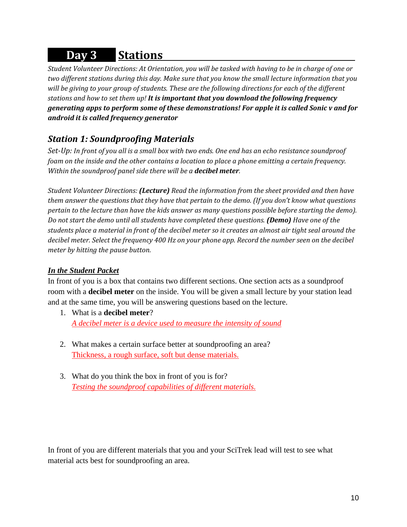# **Day 3 Stations .**

*Student Volunteer Directions: At Orientation, you will be tasked with having to be in charge of one or two different stations during this day. Make sure that you know the small lecture information that you will be giving to your group of students. These are the following directions for each of the different stations and how to set them up! It is important that you download the following frequency generating apps to perform some of these demonstrations! For apple it is called Sonic v and for android it is called frequency generator*

### *Station 1: Soundproofing Materials*

*Set-Up: In front of you all is a small box with two ends. One end has an echo resistance soundproof foam on the inside and the other contains a location to place a phone emitting a certain frequency. Within the soundproof panel side there will be a decibel meter.*

*Student Volunteer Directions: (Lecture) Read the information from the sheet provided and then have them answer the questions that they have that pertain to the demo. (If you don't know what questions pertain to the lecture than have the kids answer as many questions possible before starting the demo). Do not start the demo until all students have completed these questions. (Demo) Have one of the students place a material in front of the decibel meter so it creates an almost air tight seal around the decibel meter. Select the frequency 400 Hz on your phone app. Record the number seen on the decibel meter by hitting the pause button.*

### *In the Student Packet*

In front of you is a box that contains two different sections. One section acts as a soundproof room with a **decibel meter** on the inside. You will be given a small lecture by your station lead and at the same time, you will be answering questions based on the lecture.

- 1. What is a **decibel meter**? *A decibel meter is a device used to measure the intensity of sound*
- 2. What makes a certain surface better at soundproofing an area? Thickness, a rough surface, soft but dense materials.
- 3. What do you think the box in front of you is for? *Testing the soundproof capabilities of different materials.*

In front of you are different materials that you and your SciTrek lead will test to see what material acts best for soundproofing an area.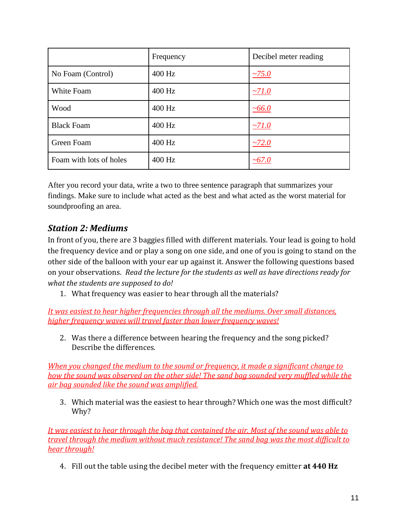|                         | Frequency | Decibel meter reading |
|-------------------------|-----------|-----------------------|
| No Foam (Control)       | 400 Hz    | $-75.0$               |
| White Foam              | 400 Hz    | $\sim$ 71.0           |
| Wood                    | 400 Hz    | ~100.0                |
| <b>Black Foam</b>       | 400 Hz    | $~10^{-7}$            |
| Green Foam              | 400 Hz    | $-72.0$               |
| Foam with lots of holes | 400 Hz    | ~100                  |

After you record your data, write a two to three sentence paragraph that summarizes your findings. Make sure to include what acted as the best and what acted as the worst material for soundproofing an area.

### *Station 2: Mediums*

In front of you, there are 3 baggies filled with different materials. Your lead is going to hold the frequency device and or play a song on one side, and one of you is going to stand on the other side of the balloon with your ear up against it. Answer the following questions based on your observations. *Read the lecture for the students as well as have directions ready for what the students are supposed to do!*

1. What frequency was easier to hear through all the materials?

*It was easiest to hear higher frequencies through all the mediums. Over small distances, higher frequency waves will travel faster than lower frequency waves!*

2. Was there a difference between hearing the frequency and the song picked? Describe the differences.

*When you changed the medium to the sound or frequency, it made a significant change to how the sound was observed on the other side! The sand bag sounded very muffled while the air bag sounded like the sound was amplified.* 

3. Which material was the easiest to hear through? Which one was the most difficult? Why?

*It was easiest to hear through the bag that contained the air. Most of the sound was able to travel through the medium without much resistance! The sand bag was the most difficult to hear through!*

4. Fill out the table using the decibel meter with the frequency emitter **at 440 Hz**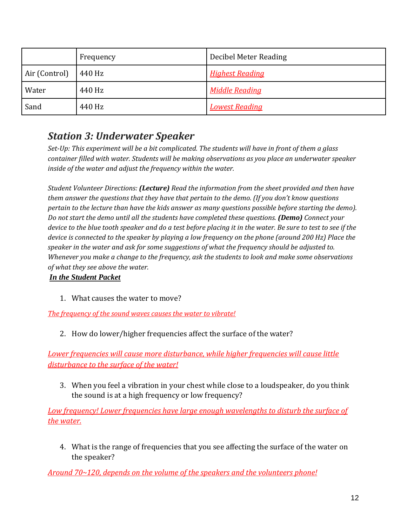|               | Frequency | Decibel Meter Reading  |
|---------------|-----------|------------------------|
| Air (Control) | 440 Hz    | <b>Highest Reading</b> |
| Water         | 440 Hz    | Middle Reading         |
| Sand          | 440 Hz    | <b>Lowest Reading</b>  |

## *Station 3: Underwater Speaker*

*Set-Up: This experiment will be a bit complicated. The students will have in front of them a glass container filled with water. Students will be making observations as you place an underwater speaker inside of the water and adjust the frequency within the water.*

*Student Volunteer Directions: (Lecture) Read the information from the sheet provided and then have them answer the questions that they have that pertain to the demo. (If you don't know questions pertain to the lecture than have the kids answer as many questions possible before starting the demo). Do not start the demo until all the students have completed these questions. (Demo) Connect your device to the blue tooth speaker and do a test before placing it in the water. Be sure to test to see if the device is connected to the speaker by playing a low frequency on the phone (around 200 Hz) Place the speaker in the water and ask for some suggestions of what the frequency should be adjusted to. Whenever you make a change to the frequency, ask the students to look and make some observations of what they see above the water.*

### *In the Student Packet*

1. What causes the water to move?

*The frequency of the sound waves causes the water to vibrate!* 

2. How do lower/higher frequencies affect the surface of the water?

*Lower frequencies will cause more disturbance, while higher frequencies will cause little disturbance to the surface of the water!* 

3. When you feel a vibration in your chest while close to a loudspeaker, do you think the sound is at a high frequency or low frequency?

*Low frequency! Lower frequencies have large enough wavelengths to disturb the surface of the water.*

4. What is the range of frequencies that you see affecting the surface of the water on the speaker?

*Around 70~120, depends on the volume of the speakers and the volunteers phone!*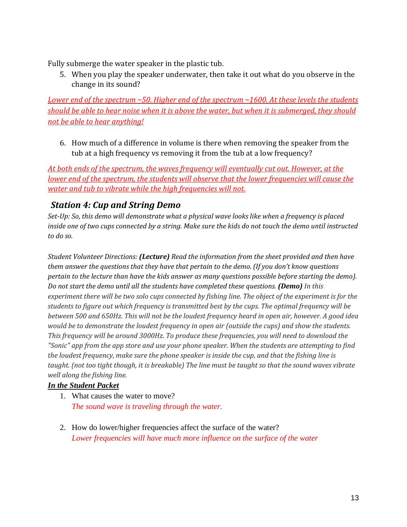Fully submerge the water speaker in the plastic tub.

5. When you play the speaker underwater, then take it out what do you observe in the change in its sound?

*Lower end of the spectrum ~50. Higher end of the spectrum ~1600. At these levels the students should be able to hear noise when it is above the water, but when it is submerged, they should not be able to hear anything!*

6. How much of a difference in volume is there when removing the speaker from the tub at a high frequency vs removing it from the tub at a low frequency?

*At both ends of the spectrum, the waves frequency will eventually cut out. However, at the lower end of the spectrum, the students will observe that the lower frequencies will cause the water and tub to vibrate while the high frequencies will not.*

### *Station 4: Cup and String Demo*

*Set-Up: So, this demo will demonstrate what a physical wave looks like when a frequency is placed inside one of two cups connected by a string. Make sure the kids do not touch the demo until instructed to do so.*

*Student Volunteer Directions: (Lecture) Read the information from the sheet provided and then have them answer the questions that they have that pertain to the demo. (If you don't know questions pertain to the lecture than have the kids answer as many questions possible before starting the demo). Do not start the demo until all the students have completed these questions. (Demo) In this experiment there will be two solo cups connected by fishing line. The object of the experiment is for the students to figure out which frequency is transmitted best by the cups. The optimal frequency will be between 500 and 650Hz. This will not be the loudest frequency heard in open air, however. A good idea would be to demonstrate the loudest frequency in open air (outside the cups) and show the students. This frequency will be around 3000Hz. To produce these frequencies, you will need to download the "Sonic" app from the app store and use your phone speaker. When the students are attempting to find the loudest frequency, make sure the phone speaker is inside the cup, and that the fishing line is taught. (not too tight though, it is breakable) The line must be taught so that the sound waves vibrate well along the fishing line.*

### *In the Student Packet*

- 1. What causes the water to move? *The sound wave is traveling through the water.*
- 2. How do lower/higher frequencies affect the surface of the water? *Lower frequencies will have much more influence on the surface of the water*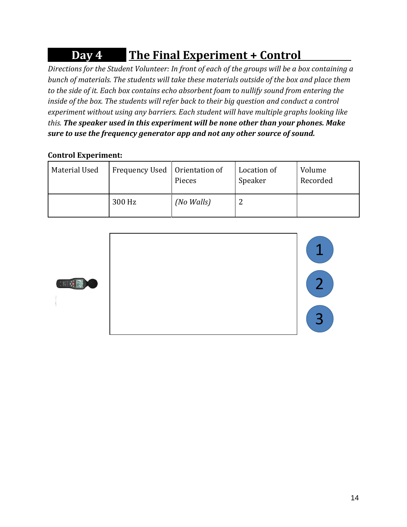# **Day 4 The Final Experiment + Control .**

*Directions for the Student Volunteer: In front of each of the groups will be a box containing a bunch of materials. The students will take these materials outside of the box and place them to the side of it. Each box contains echo absorbent foam to nullify sound from entering the inside of the box. The students will refer back to their big question and conduct a control experiment without using any barriers. Each student will have multiple graphs looking like this. The speaker used in this experiment will be none other than your phones. Make sure to use the frequency generator app and not any other source of sound.*

### **Control Experiment:**

| Material Used | Frequency Used   Orientation of | Pieces     | Location of<br>Speaker | Volume<br>Recorded |
|---------------|---------------------------------|------------|------------------------|--------------------|
|               | 300 Hz                          | (No Walls) |                        |                    |



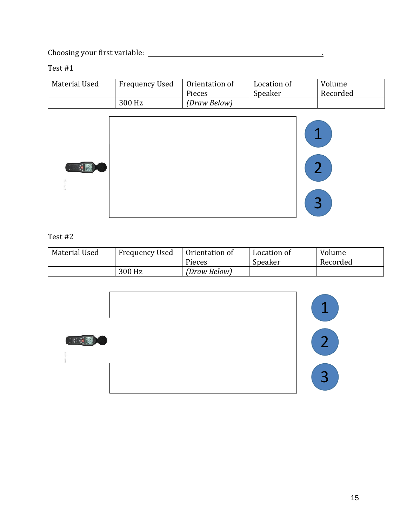Choosing your first variable: .

Test #1

| Material Used | <b>Frequency Used</b> | Orientation of<br>Pieces | Location of<br>Speaker | Volume<br>Recorded |
|---------------|-----------------------|--------------------------|------------------------|--------------------|
|               | 300 Hz                | (Draw Below)             |                        |                    |



### Test #2

| Material Used | <b>Frequency Used</b> | Orientation of<br>Pieces | Location of<br>Speaker | Volume<br>Recorded |
|---------------|-----------------------|--------------------------|------------------------|--------------------|
|               | 300 Hz                | (Draw Below)             |                        |                    |

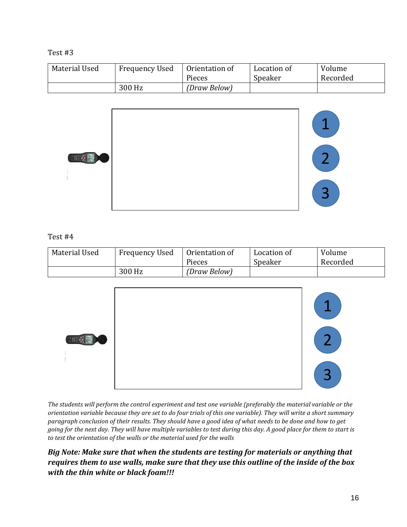#### Test #3

| Material Used | <b>Frequency Used</b> | Orientation of | Location of | Volume   |
|---------------|-----------------------|----------------|-------------|----------|
|               |                       | Pieces         | Speaker     | Recorded |
|               | 300 Hz                | (Draw Below)   |             |          |



#### Test #4

| Material Used | <b>Frequency Used</b> | Orientation of<br>Pieces | Location of<br>Speaker | Volume<br>Recorded |
|---------------|-----------------------|--------------------------|------------------------|--------------------|
|               | 300 Hz                | (Draw Below)             |                        |                    |



*The students will perform the control experiment and test one variable (preferably the material variable or the orientation variable because they are set to do four trials of this one variable). They will write a short summary paragraph conclusion of their results. They should have a good idea of what needs to be done and how to get going for the next day. They will have multiple variables to test during this day. A good place for them to start is to test the orientation of the walls or the material used for the walls*

### *Big Note: Make sure that when the students are testing for materials or anything that requires them to use walls, make sure that they use this outline of the inside of the box with the thin white or black foam!!!*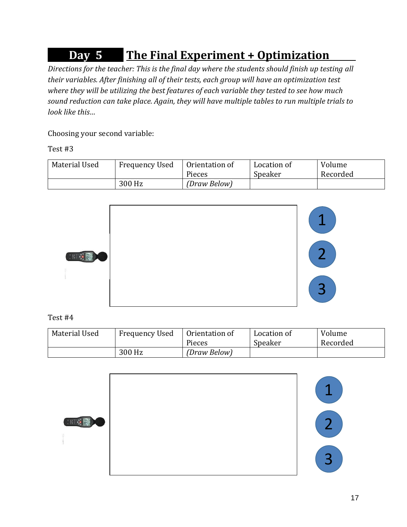# **Day 5 The Final Experiment + Optimization .**

*Directions for the teacher: This is the final day where the students should finish up testing all their variables. After finishing all of their tests, each group will have an optimization test where they will be utilizing the best features of each variable they tested to see how much sound reduction can take place. Again, they will have multiple tables to run multiple trials to look like this…*

Choosing your second variable:

Test #3

| Material Used | Frequency Used | Orientation of | Location of | Volume   |
|---------------|----------------|----------------|-------------|----------|
|               |                | Pieces         | Speaker     | Recorded |
|               | 300 Hz         | (Draw Below)   |             |          |



Test #4

| Material Used | <b>Frequency Used</b> | Orientation of | Location of | Volume   |
|---------------|-----------------------|----------------|-------------|----------|
|               |                       | Pieces         | Speaker     | Recorded |
|               | 300 Hz                | (Draw Below)   |             |          |

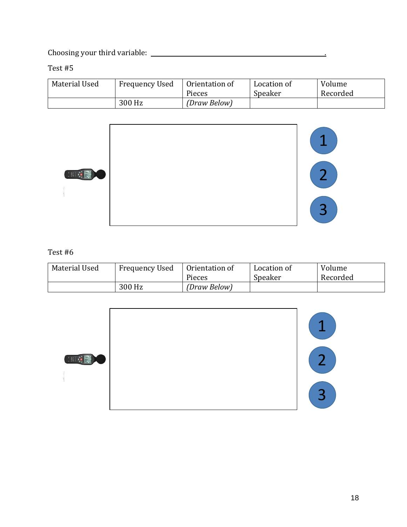Choosing your third variable: .

Test #5

| Material Used | <b>Frequency Used</b> | Orientation of | Location of | Volume   |
|---------------|-----------------------|----------------|-------------|----------|
|               |                       | Pieces         | Speaker     | Recorded |
|               | 300 Hz                | (Draw Below)   |             |          |



#### Test #6

| Material Used | <b>Frequency Used</b> | Orientation of | Location of | Volume   |
|---------------|-----------------------|----------------|-------------|----------|
|               |                       | Pieces         | Speaker     | Recorded |
|               | 300 Hz                | (Draw Below)   |             |          |

| R | 27                |
|---|-------------------|
|   | $\mathbf{P}$<br>پ |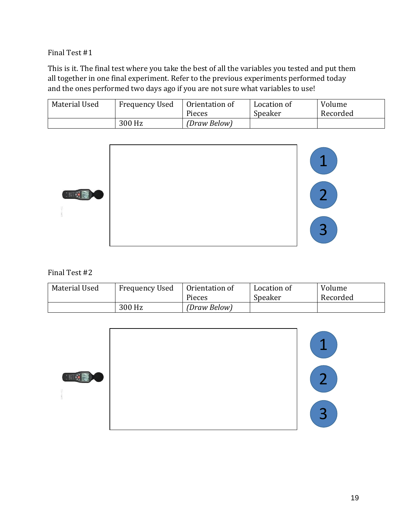Final Test #1

This is it. The final test where you take the best of all the variables you tested and put them all together in one final experiment. Refer to the previous experiments performed today and the ones performed two days ago if you are not sure what variables to use!

| Material Used | <b>Frequency Used</b> | Orientation of | Location of | Volume   |
|---------------|-----------------------|----------------|-------------|----------|
|               |                       | Pieces         | Speaker     | Recorded |
|               | 300 Hz                | (Draw Below)   |             |          |



Final Test #2

| Material Used | <b>Frequency Used</b> | Orientation of | Location of | Volume   |
|---------------|-----------------------|----------------|-------------|----------|
|               |                       | Pieces         | Speaker     | Recorded |
|               | 300 Hz                | (Draw Below)   |             |          |

|                   | ◢                    |
|-------------------|----------------------|
| 图<br><b>All C</b> | $\sim$               |
|                   | $\mathbf{\sim}$<br>پ |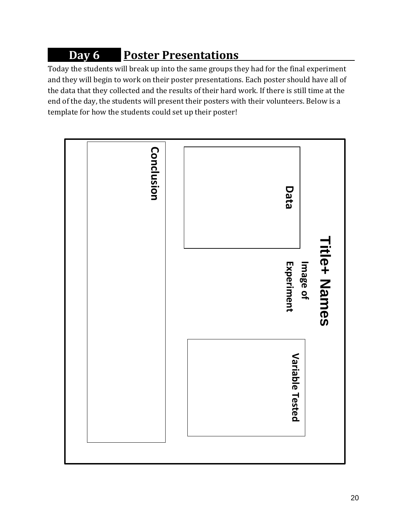# **Day 6** Poster Presentations

Today the students will break up into the same groups they had for the final experiment and they will begin to work on their poster presentations. Each poster should have all of the data that they collected and the results of their hard work. If there is still time at the end of the day, the students will present their posters with their volunteers. Below is a template for how the students could set up their poster!